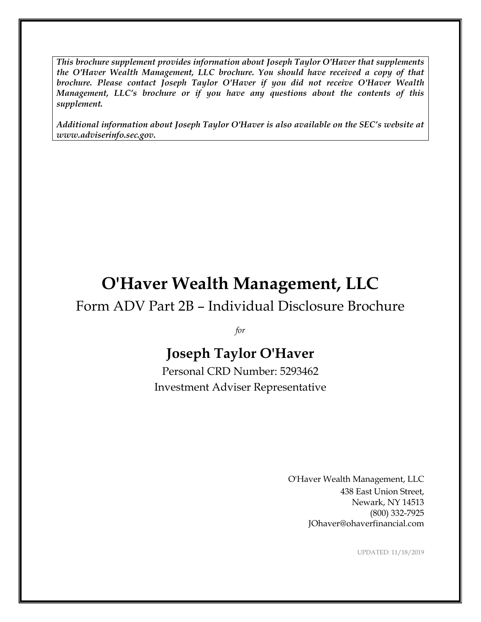*This brochure supplement provides information about Joseph Taylor O'Haver that supplements the O'Haver Wealth Management, LLC brochure. You should have received a copy of that brochure. Please contact Joseph Taylor O'Haver if you did not receive O'Haver Wealth Management, LLC's brochure or if you have any questions about the contents of this supplement.*

*Additional information about Joseph Taylor O'Haver is also available on the SEC's website at www.adviserinfo.sec.gov.*

# **O'Haver Wealth Management, LLC**

### Form ADV Part 2B – Individual Disclosure Brochure

*for*

## **Joseph Taylor O'Haver**

Personal CRD Number: 5293462 Investment Adviser Representative

> O'Haver Wealth Management, LLC 438 East Union Street, Newark, NY 14513 (800) 332-7925 JOhaver@ohaverfinancial.com

> > UPDATED: 11/18/2019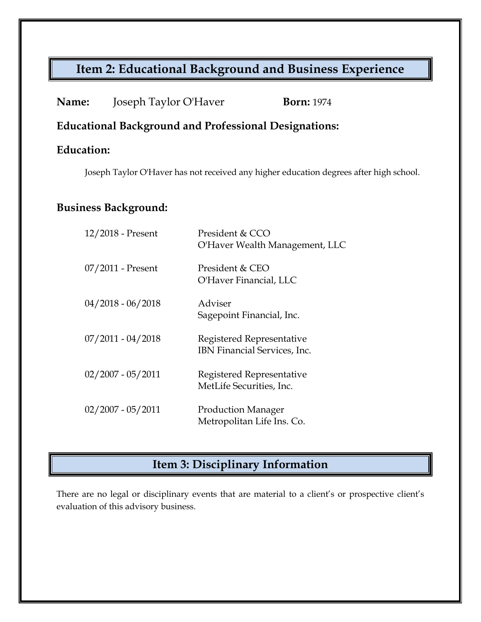### **Item 2: Educational Background and Business Experience**

| Name:<br>Joseph Taylor O'Haver | <b>Born:</b> 1974 |
|--------------------------------|-------------------|
|--------------------------------|-------------------|

#### **Educational Background and Professional Designations:**

#### **Education:**

Joseph Taylor O'Haver has not received any higher education degrees after high school.

#### **Business Background:**

| 12/2018 - Present   | President & CCO<br>O'Haver Wealth Management, LLC         |
|---------------------|-----------------------------------------------------------|
| $07/2011$ - Present | President & CEO<br>O'Haver Financial, LLC                 |
| $04/2018 - 06/2018$ | Adviser<br>Sagepoint Financial, Inc.                      |
| $07/2011 - 04/2018$ | Registered Representative<br>IBN Financial Services, Inc. |
| $02/2007 - 05/2011$ | Registered Representative<br>MetLife Securities, Inc.     |
| $02/2007 - 05/2011$ | <b>Production Manager</b><br>Metropolitan Life Ins. Co.   |

### **Item 3: Disciplinary Information**

There are no legal or disciplinary events that are material to a client's or prospective client's evaluation of this advisory business.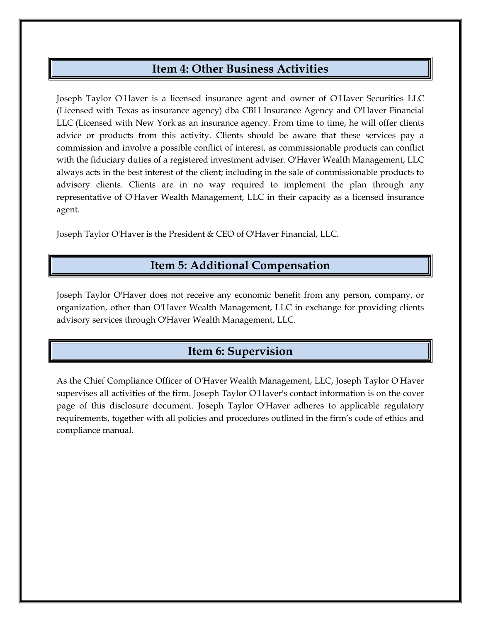#### **Item 4: Other Business Activities**

Joseph Taylor O'Haver is a licensed insurance agent and owner of O'Haver Securities LLC (Licensed with Texas as insurance agency) dba CBH Insurance Agency and O'Haver Financial LLC (Licensed with New York as an insurance agency. From time to time, he will offer clients advice or products from this activity. Clients should be aware that these services pay a commission and involve a possible conflict of interest, as commissionable products can conflict with the fiduciary duties of a registered investment adviser. O'Haver Wealth Management, LLC always acts in the best interest of the client; including in the sale of commissionable products to advisory clients. Clients are in no way required to implement the plan through any representative of O'Haver Wealth Management, LLC in their capacity as a licensed insurance agent.

Joseph Taylor O'Haver is the President & CEO of O'Haver Financial, LLC.

#### **Item 5: Additional Compensation**

Joseph Taylor O'Haver does not receive any economic benefit from any person, company, or organization, other than O'Haver Wealth Management, LLC in exchange for providing clients advisory services through O'Haver Wealth Management, LLC.

#### **Item 6: Supervision**

As the Chief Compliance Officer of O'Haver Wealth Management, LLC, Joseph Taylor O'Haver supervises all activities of the firm. Joseph Taylor O'Haver's contact information is on the cover page of this disclosure document. Joseph Taylor O'Haver adheres to applicable regulatory requirements, together with all policies and procedures outlined in the firm's code of ethics and compliance manual.